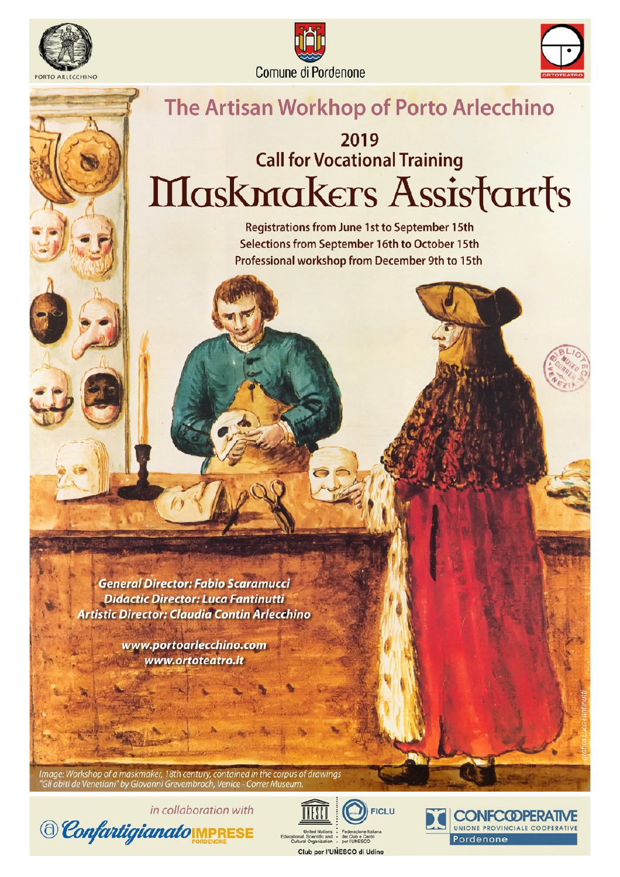





## The Artisan Workhop of Porto Arlecchino

# 2019 **Call for Vocational Training** Maskmakers Assistants

**Registrations from June 1st to September 15th** Selections from September 16th to October 15th Professional workshop from December 9th to 15th

**General Director: Fabio Scaramucci Didactic Director: Luca Fantinutti Artistic Director: Claudia Contin Arlecchino** 

> www.portoarlecchino.com www.ortoteatro.it

Image: Workshop of a maskmaker, 18th century, contained in the corpus of drawings Gli abiti de Venetiani" by Giovanni Grevembroch, Venice - Correr Museum





**FICLU** 

Club per l'UNESCO di Udine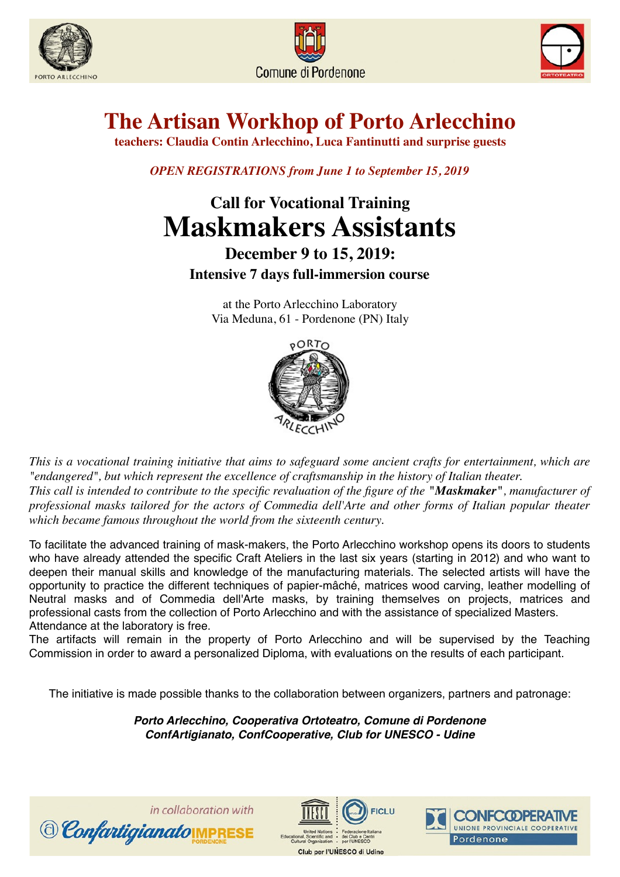





# **The Artisan Workhop of Porto Arlecchino**

**teachers: Claudia Contin Arlecchino, Luca Fantinutti and surprise guests**

*OPEN REGISTRATIONS from June 1 to September 15, 2019*

## **Call for Vocational Training Maskmakers Assistants**

### **December 9 to 15, 2019: Intensive 7 days full-immersion course**

at the Porto Arlecchino Laboratory Via Meduna, 61 - Pordenone (PN) Italy



*This is a vocational training initiative that aims to safeguard some ancient crafts for entertainment, which are "endangered", but which represent the excellence of craftsmanship in the history of Italian theater. This call is intended to contribute to the specific revaluation of the figure of the "Maskmaker", manufacturer of professional masks tailored for the actors of Commedia dell'Arte and other forms of Italian popular theater which became famous throughout the world from the sixteenth century.*

To facilitate the advanced training of mask-makers, the Porto Arlecchino workshop opens its doors to students who have already attended the specific Craft Ateliers in the last six years (starting in 2012) and who want to deepen their manual skills and knowledge of the manufacturing materials. The selected artists will have the opportunity to practice the different techniques of papier-mâché, matrices wood carving, leather modelling of Neutral masks and of Commedia dell'Arte masks, by training themselves on projects, matrices and professional casts from the collection of Porto Arlecchino and with the assistance of specialized Masters. Attendance at the laboratory is free.

The artifacts will remain in the property of Porto Arlecchino and will be supervised by the Teaching Commission in order to award a personalized Diploma, with evaluations on the results of each participant.

The initiative is made possible thanks to the collaboration between organizers, partners and patronage:

*Porto Arlecchino, Cooperativa Ortoteatro, Comune di Pordenone ConfArtigianato, ConfCooperative, Club for UNESCO - Udine*





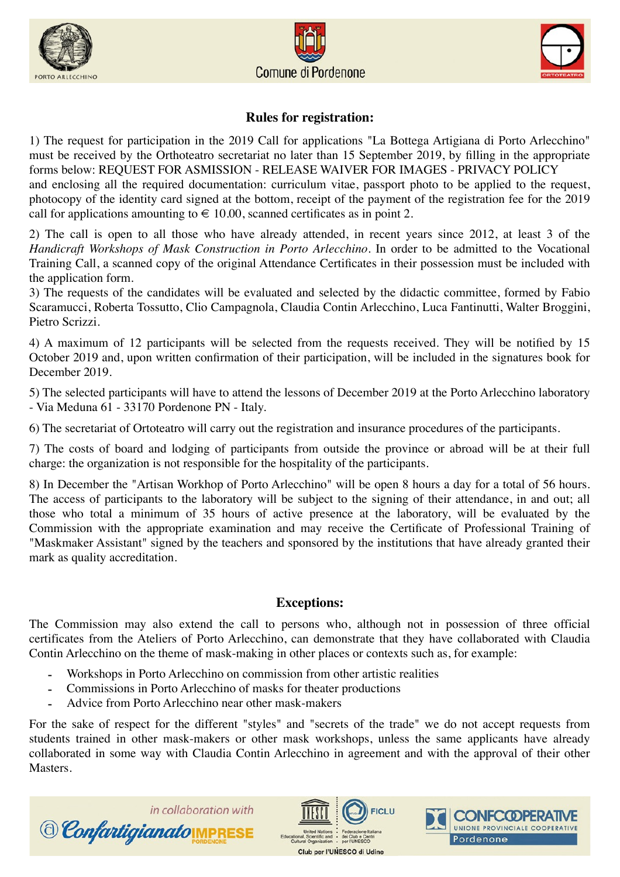





#### **Rules for registration:**

1) The request for participation in the 2019 Call for applications "La Bottega Artigiana di Porto Arlecchino" must be received by the Orthoteatro secretariat no later than 15 September 2019, by filling in the appropriate forms below: REQUEST FOR ASMISSION - RELEASE WAIVER FOR IMAGES - PRIVACY POLICY and enclosing all the required documentation: curriculum vitae, passport photo to be applied to the request, photocopy of the identity card signed at the bottom, receipt of the payment of the registration fee for the 2019 call for applications amounting to  $\in$  10.00, scanned certificates as in point 2.

2) The call is open to all those who have already attended, in recent years since 2012, at least 3 of the *Handicraft Workshops of Mask Construction in Porto Arlecchino.* In order to be admitted to the Vocational Training Call, a scanned copy of the original Attendance Certificates in their possession must be included with the application form.

3) The requests of the candidates will be evaluated and selected by the didactic committee, formed by Fabio Scaramucci, Roberta Tossutto, Clio Campagnola, Claudia Contin Arlecchino, Luca Fantinutti, Walter Broggini, Pietro Scrizzi.

4) A maximum of 12 participants will be selected from the requests received. They will be notified by 15 October 2019 and, upon written confirmation of their participation, will be included in the signatures book for December 2019.

5) The selected participants will have to attend the lessons of December 2019 at the Porto Arlecchino laboratory - Via Meduna 61 - 33170 Pordenone PN - Italy.

6) The secretariat of Ortoteatro will carry out the registration and insurance procedures of the participants.

7) The costs of board and lodging of participants from outside the province or abroad will be at their full charge: the organization is not responsible for the hospitality of the participants.

8) In December the "Artisan Workhop of Porto Arlecchino" will be open 8 hours a day for a total of 56 hours. The access of participants to the laboratory will be subject to the signing of their attendance, in and out; all those who total a minimum of 35 hours of active presence at the laboratory, will be evaluated by the Commission with the appropriate examination and may receive the Certificate of Professional Training of "Maskmaker Assistant" signed by the teachers and sponsored by the institutions that have already granted their mark as quality accreditation.

#### **Exceptions:**

The Commission may also extend the call to persons who, although not in possession of three official certificates from the Ateliers of Porto Arlecchino, can demonstrate that they have collaborated with Claudia Contin Arlecchino on the theme of mask-making in other places or contexts such as, for example:

- Workshops in Porto Arlecchino on commission from other artistic realities
- Commissions in Porto Arlecchino of masks for theater productions
- Advice from Porto Arlecchino near other mask-makers

For the sake of respect for the different "styles" and "secrets of the trade" we do not accept requests from students trained in other mask-makers or other mask workshops, unless the same applicants have already collaborated in some way with Claudia Contin Arlecchino in agreement and with the approval of their other **Masters** 

Club per l'UNESCO di Udine

**FICLU** 

**ONFCCOPERATI** 

UNIONE PROVINCIALE COOPERATIVE

Pordenone

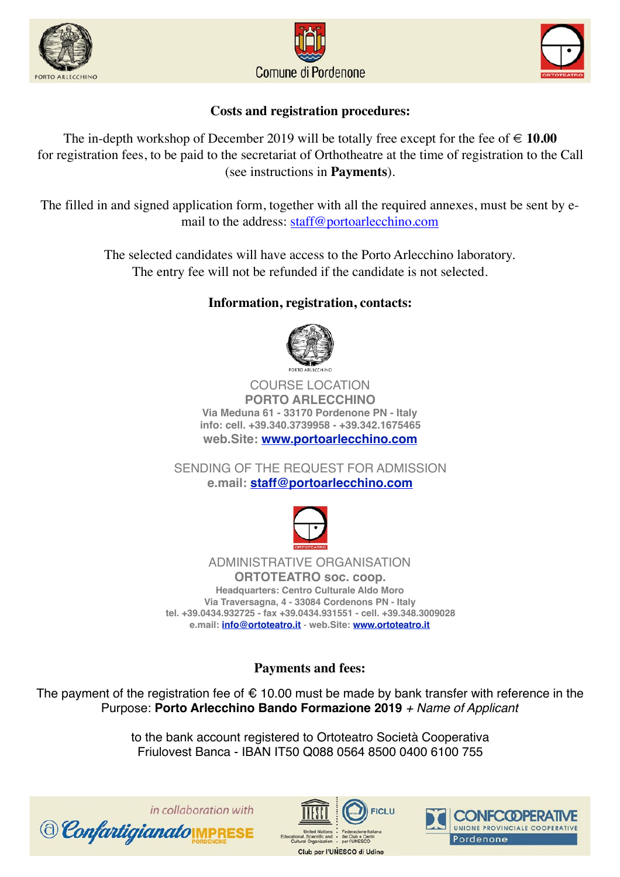





#### **Costs and registration procedures:**

The in-depth workshop of December 2019 will be totally free except for the fee of  $\in$  10.00 for registration fees, to be paid to the secretariat of Orthotheatre at the time of registration to the Call (see instructions in **Payments**).

The filled in and signed application form, together with all the required annexes, must be sent by email to the address: [staff@portoarlecchino.com](mailto:staff@portoarlecchino.com)

> The selected candidates will have access to the Porto Arlecchino laboratory. The entry fee will not be refunded if the candidate is not selected.

#### **Information, registration, contacts:**



COURSE LOCATION **PORTO ARLECCHINO Via Meduna 61 - 33170 Pordenone PN - Italy info: cell. +39.340.3739958 - +39.342.1675465 web.Site: [www.portoarlecchino.com](http://www.portoarlecchino.com/)**

SENDING OF THE REQUEST FOR ADMISSION **e.mail: [staff@portoarlecchino.com](mailto:staff@portoarlecchino.com)**



ADMINISTRATIVE ORGANISATION **ORTOTEATRO soc. coop. Headquarters: Centro Culturale Aldo Moro Via Traversagna, 4 - 33084 Cordenons PN - Italy tel. +39.0434.932725 - fax +39.0434.931551 - cell. +39.348.3009028 e.mail: [info@ortoteatro.it](mailto:info@ortoteatro.it)** - **web.Site: [www.ortoteatro.it](http://www.ortoteatro.it/)**

**Payments and fees:**

The payment of the registration fee of  $\epsilon$  10.00 must be made by bank transfer with reference in the Purpose: **Porto Arlecchino Bando Formazione 2019** *+ Name of Applicant*

> to the bank account registered to Ortoteatro Società Cooperativa Friulovest Banca - IBAN IT50 Q088 0564 8500 0400 6100 755





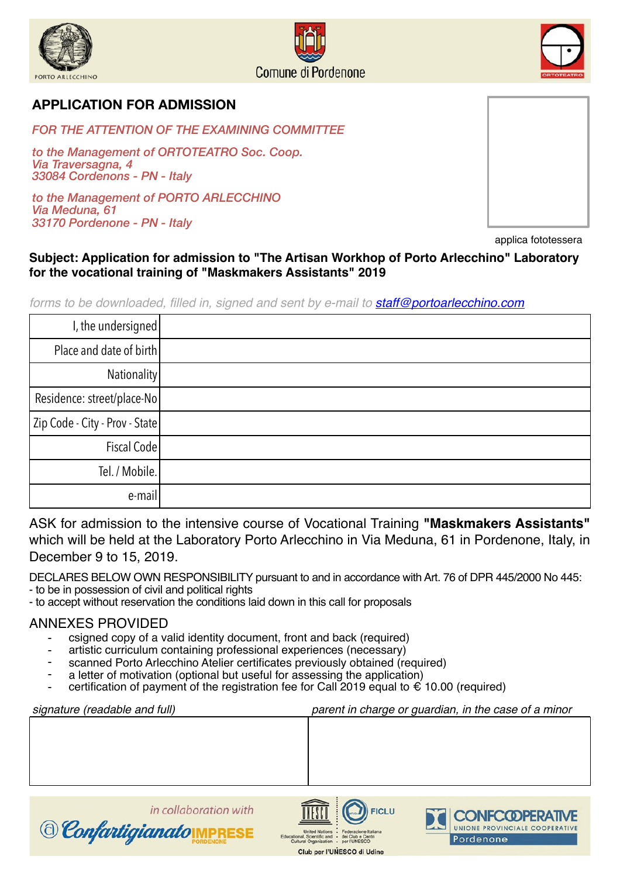



#### **APPLICATION FOR ADMISSION**

*FOR THE ATTENTION OF THE EXAMINING COMMITTEE* 

*to the Management of ORTOTEATRO Soc. Coop. Via Traversagna, 4 33084 Cordenons - PN - Italy* 

*to the Management of PORTO ARLECCHINO Via Meduna, 61 33170 Pordenone - PN - Italy*



applica fototessera

#### **Subject: Application for admission to "The Artisan Workhop of Porto Arlecchino" Laboratory for the vocational training of "Maskmakers Assistants" 2019**

*forms to be downloaded, filled in, signed and sent by e-mail to [staff@portoarlecchino.com](mailto:staff@portoarlecchino.com)*

| I, the undersigned             |  |
|--------------------------------|--|
| Place and date of birth        |  |
| Nationality                    |  |
| Residence: street/place-No     |  |
| Zip Code - City - Prov - State |  |
| Fiscal Code                    |  |
| Tel. / Mobile.                 |  |
| e-mail                         |  |

ASK for admission to the intensive course of Vocational Training **"Maskmakers Assistants"**  which will be held at the Laboratory Porto Arlecchino in Via Meduna, 61 in Pordenone, Italy, in December 9 to 15, 2019.

DECLARES BELOW OWN RESPONSIBILITY pursuant to and in accordance with Art. 76 of DPR 445/2000 No 445:

- to be in possession of civil and political rights

© Confartigianato IMPRE

- to accept without reservation the conditions laid down in this call for proposals

#### ANNEXES PROVIDED

- csigned copy of a valid identity document, front and back (required)
- artistic curriculum containing professional experiences (necessary)

in collaboration with

- scanned Porto Arlecchino Atelier certificates previously obtained (required)
- a letter of motivation (optional but useful for assessing the application)
- certification of payment of the registration fee for Call 2019 equal to  $\epsilon$  10.00 (required)

| signature (readable and full) | parent in charge or guardian, in the case of a minor |  |  |
|-------------------------------|------------------------------------------------------|--|--|
|                               |                                                      |  |  |
|                               |                                                      |  |  |
|                               |                                                      |  |  |
|                               |                                                      |  |  |
|                               |                                                      |  |  |
|                               |                                                      |  |  |



Club per l'UNESCO di Udine

FICL LI

**CONFCODPERATI** 

Pordenone

UNIONE PROVINCIALE COOPERATIVE